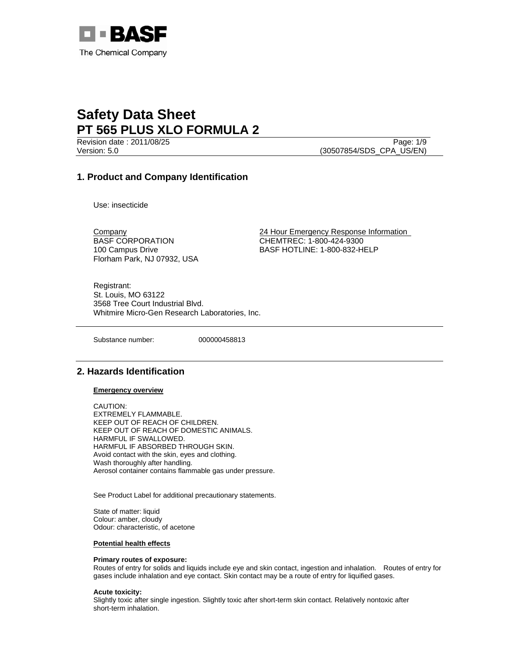

Revision date : 2011/08/25 Page: 1/9 Version: 5.0 (30507854/SDS\_CPA\_US/EN)

# **1. Product and Company Identification**

Use: insecticide

BASF CORPORATION 100 Campus Drive Florham Park, NJ 07932, USA

Company 24 Hour Emergency Response Information CHEMTREC: 1-800-424-9300 BASF HOTLINE: 1-800-832-HELP

Registrant: St. Louis, MO 63122 3568 Tree Court Industrial Blvd. Whitmire Micro-Gen Research Laboratories, Inc.

Substance number: 000000458813

# **2. Hazards Identification**

#### **Emergency overview**

CAUTION: EXTREMELY FLAMMABLE. KEEP OUT OF REACH OF CHILDREN. KEEP OUT OF REACH OF DOMESTIC ANIMALS. HARMFUL IF SWALLOWED. HARMFUL IF ABSORBED THROUGH SKIN. Avoid contact with the skin, eyes and clothing. Wash thoroughly after handling. Aerosol container contains flammable gas under pressure.

See Product Label for additional precautionary statements.

State of matter: liquid Colour: amber, cloudy Odour: characteristic, of acetone

#### **Potential health effects**

#### **Primary routes of exposure:**

Routes of entry for solids and liquids include eye and skin contact, ingestion and inhalation. Routes of entry for gases include inhalation and eye contact. Skin contact may be a route of entry for liquified gases.

#### **Acute toxicity:**

Slightly toxic after single ingestion. Slightly toxic after short-term skin contact. Relatively nontoxic after short-term inhalation.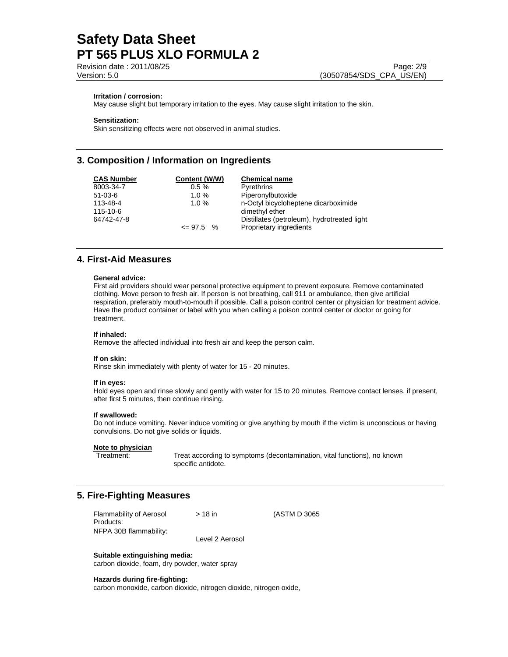Revision date : 2011/08/25 Page: 2/9

Version: 5.0 (30507854/SDS\_CPA\_US/EN)

#### **Irritation / corrosion:**

May cause slight but temporary irritation to the eyes. May cause slight irritation to the skin.

#### **Sensitization:**

Skin sensitizing effects were not observed in animal studies.

### **3. Composition / Information on Ingredients**

| <b>CAS Number</b> | Content (W/W) | <b>Chemical name</b>                        |
|-------------------|---------------|---------------------------------------------|
| 8003-34-7         | $0.5 \%$      | Pyrethrins                                  |
| $51-03-6$         | $1.0 \%$      | Piperonylbutoxide                           |
| 113-48-4          | $1.0 \%$      | n-Octyl bicycloheptene dicarboximide        |
| 115-10-6          |               | dimethyl ether                              |
| 64742-47-8        |               | Distillates (petroleum), hydrotreated light |
|                   | $\leq$ 97.5 % | Proprietary ingredients                     |

# **4. First-Aid Measures**

#### **General advice:**

First aid providers should wear personal protective equipment to prevent exposure. Remove contaminated clothing. Move person to fresh air. If person is not breathing, call 911 or ambulance, then give artificial respiration, preferably mouth-to-mouth if possible. Call a poison control center or physician for treatment advice. Have the product container or label with you when calling a poison control center or doctor or going for treatment.

#### **If inhaled:**

Remove the affected individual into fresh air and keep the person calm.

#### **If on skin:**

Rinse skin immediately with plenty of water for 15 - 20 minutes.

#### **If in eyes:**

Hold eyes open and rinse slowly and gently with water for 15 to 20 minutes. Remove contact lenses, if present, after first 5 minutes, then continue rinsing.

#### **If swallowed:**

Do not induce vomiting. Never induce vomiting or give anything by mouth if the victim is unconscious or having convulsions. Do not give solids or liquids.

# **Note to physician**

Treat according to symptoms (decontamination, vital functions), no known specific antidote.

### **5. Fire-Fighting Measures**

| Flammability of Aerosol | $>18$ in        | (ASTM D 3065) |
|-------------------------|-----------------|---------------|
| Products:               |                 |               |
| NFPA 30B flammability:  |                 |               |
|                         | Level 2 Aerosol |               |

**Suitable extinguishing media:** 

carbon dioxide, foam, dry powder, water spray

#### **Hazards during fire-fighting:**

carbon monoxide, carbon dioxide, nitrogen dioxide, nitrogen oxide,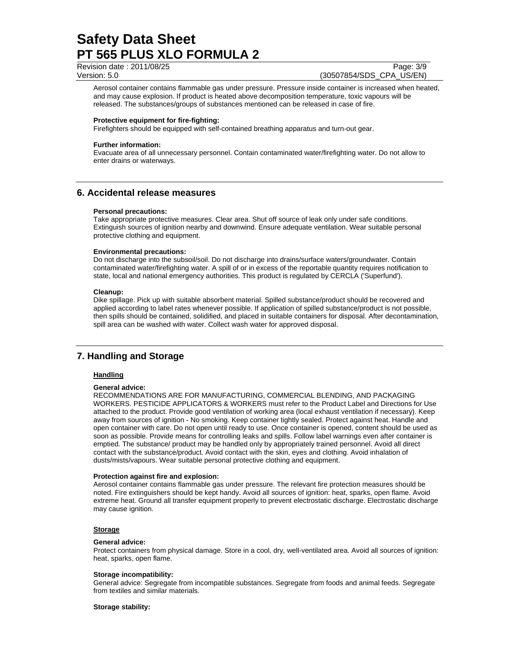Revision date : 2011/08/25 Page: 3/9

Version: 5.0 (30507854/SDS\_CPA\_US/EN)

Aerosol container contains flammable gas under pressure. Pressure inside container is increased when heated, and may cause explosion. If product is heated above decomposition temperature, toxic vapours will be released. The substances/groups of substances mentioned can be released in case of fire.

#### **Protective equipment for fire-fighting:**

Firefighters should be equipped with self-contained breathing apparatus and turn-out gear.

#### **Further information:**

Evacuate area of all unnecessary personnel. Contain contaminated water/firefighting water. Do not allow to enter drains or waterways.

### **6. Accidental release measures**

#### **Personal precautions:**

Take appropriate protective measures. Clear area. Shut off source of leak only under safe conditions. Extinguish sources of ignition nearby and downwind. Ensure adequate ventilation. Wear suitable personal protective clothing and equipment.

#### **Environmental precautions:**

Do not discharge into the subsoil/soil. Do not discharge into drains/surface waters/groundwater. Contain contaminated water/firefighting water. A spill of or in excess of the reportable quantity requires notification to state, local and national emergency authorities. This product is regulated by CERCLA ('Superfund').

#### **Cleanup:**

Dike spillage. Pick up with suitable absorbent material. Spilled substance/product should be recovered and applied according to label rates whenever possible. If application of spilled substance/product is not possible, then spills should be contained, solidified, and placed in suitable containers for disposal. After decontamination, spill area can be washed with water. Collect wash water for approved disposal.

### **7. Handling and Storage**

#### **Handling**

#### **General advice:**

RECOMMENDATIONS ARE FOR MANUFACTURING, COMMERCIAL BLENDING, AND PACKAGING WORKERS. PESTICIDE APPLICATORS & WORKERS must refer to the Product Label and Directions for Use attached to the product. Provide good ventilation of working area (local exhaust ventilation if necessary). Keep away from sources of ignition - No smoking. Keep container tightly sealed. Protect against heat. Handle and open container with care. Do not open until ready to use. Once container is opened, content should be used as soon as possible. Provide means for controlling leaks and spills. Follow label warnings even after container is emptied. The substance/ product may be handled only by appropriately trained personnel. Avoid all direct contact with the substance/product. Avoid contact with the skin, eyes and clothing. Avoid inhalation of dusts/mists/vapours. Wear suitable personal protective clothing and equipment.

#### **Protection against fire and explosion:**

Aerosol container contains flammable gas under pressure. The relevant fire protection measures should be noted. Fire extinguishers should be kept handy. Avoid all sources of ignition: heat, sparks, open flame. Avoid extreme heat. Ground all transfer equipment properly to prevent electrostatic discharge. Electrostatic discharge may cause ignition.

#### **Storage**

#### **General advice:**

Protect containers from physical damage. Store in a cool, dry, well-ventilated area. Avoid all sources of ignition: heat, sparks, open flame.

#### **Storage incompatibility:**

General advice: Segregate from incompatible substances. Segregate from foods and animal feeds. Segregate from textiles and similar materials.

**Storage stability:**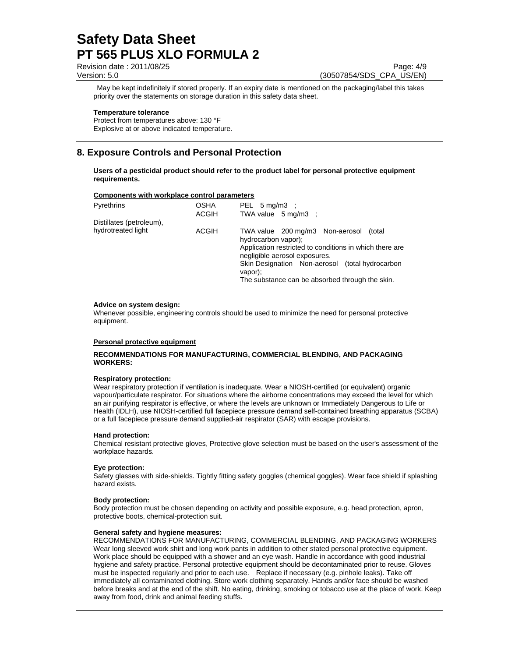Revision date : 2011/08/25 Page: 4/9

Version: 5.0 (30507854/SDS\_CPA\_US/EN)

 May be kept indefinitely if stored properly. If an expiry date is mentioned on the packaging/label this takes priority over the statements on storage duration in this safety data sheet.

#### **Temperature tolerance**

Protect from temperatures above: 130 °F Explosive at or above indicated temperature.

# **8. Exposure Controls and Personal Protection**

**Users of a pesticidal product should refer to the product label for personal protective equipment requirements.** 

#### **Components with workplace control parameters**

| Pyrethrins               | <b>OSHA</b><br><b>ACGIH</b> | PEL $5 \text{ mg/m3}$ :<br>TWA value $5 \text{ mg/m3}$ :                                                                                                                                                                                                                       |
|--------------------------|-----------------------------|--------------------------------------------------------------------------------------------------------------------------------------------------------------------------------------------------------------------------------------------------------------------------------|
| Distillates (petroleum), |                             |                                                                                                                                                                                                                                                                                |
| hydrotreated light       | ACGIH                       | TWA value 200 mg/m3 Non-aerosol<br>(total)<br>hydrocarbon vapor);<br>Application restricted to conditions in which there are<br>negligible aerosol exposures.<br>Skin Designation Non-aerosol (total hydrocarbon<br>vapor):<br>The substance can be absorbed through the skin. |

#### **Advice on system design:**

Whenever possible, engineering controls should be used to minimize the need for personal protective equipment.

#### **Personal protective equipment**

#### **RECOMMENDATIONS FOR MANUFACTURING, COMMERCIAL BLENDING, AND PACKAGING WORKERS:**

#### **Respiratory protection:**

Wear respiratory protection if ventilation is inadequate. Wear a NIOSH-certified (or equivalent) organic vapour/particulate respirator. For situations where the airborne concentrations may exceed the level for which an air purifying respirator is effective, or where the levels are unknown or Immediately Dangerous to Life or Health (IDLH), use NIOSH-certified full facepiece pressure demand self-contained breathing apparatus (SCBA) or a full facepiece pressure demand supplied-air respirator (SAR) with escape provisions.

#### **Hand protection:**

Chemical resistant protective gloves, Protective glove selection must be based on the user's assessment of the workplace hazards.

#### **Eye protection:**

Safety glasses with side-shields. Tightly fitting safety goggles (chemical goggles). Wear face shield if splashing hazard exists.

#### **Body protection:**

Body protection must be chosen depending on activity and possible exposure, e.g. head protection, apron, protective boots, chemical-protection suit.

#### **General safety and hygiene measures:**

RECOMMENDATIONS FOR MANUFACTURING, COMMERCIAL BLENDING, AND PACKAGING WORKERS Wear long sleeved work shirt and long work pants in addition to other stated personal protective equipment. Work place should be equipped with a shower and an eye wash. Handle in accordance with good industrial hygiene and safety practice. Personal protective equipment should be decontaminated prior to reuse. Gloves must be inspected regularly and prior to each use. Replace if necessary (e.g. pinhole leaks). Take off immediately all contaminated clothing. Store work clothing separately. Hands and/or face should be washed before breaks and at the end of the shift. No eating, drinking, smoking or tobacco use at the place of work. Keep away from food, drink and animal feeding stuffs.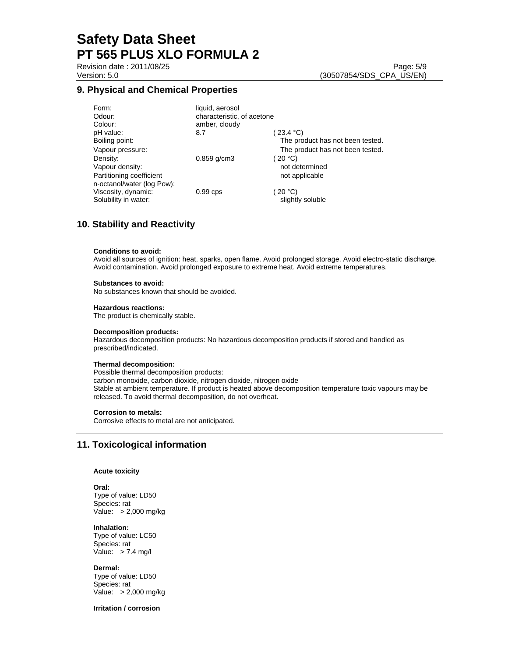Revision date : 2011/08/25 Page: 5/9

### **9. Physical and Chemical Properties**

| Form:                      | liquid, aerosol            |                                  |
|----------------------------|----------------------------|----------------------------------|
| Odour:                     | characteristic, of acetone |                                  |
| Colour:                    | amber, cloudy              |                                  |
| pH value:                  | 8.7                        | $23.4 \text{ }^{\circ}C$         |
| Boiling point:             |                            | The product has not been tested. |
| Vapour pressure:           |                            | The product has not been tested. |
| Density:                   | $0.859$ g/cm3              | 20 °C                            |
| Vapour density:            |                            | not determined                   |
| Partitioning coefficient   |                            | not applicable                   |
| n-octanol/water (log Pow): |                            |                                  |
| Viscosity, dynamic:        | $0.99$ cps                 | 20 °C                            |
| Solubility in water:       |                            | slightly soluble                 |

### **10. Stability and Reactivity**

#### **Conditions to avoid:**

Avoid all sources of ignition: heat, sparks, open flame. Avoid prolonged storage. Avoid electro-static discharge. Avoid contamination. Avoid prolonged exposure to extreme heat. Avoid extreme temperatures.

#### **Substances to avoid:**

No substances known that should be avoided.

#### **Hazardous reactions:**

The product is chemically stable.

#### **Decomposition products:**

Hazardous decomposition products: No hazardous decomposition products if stored and handled as prescribed/indicated.

#### **Thermal decomposition:**

Possible thermal decomposition products: carbon monoxide, carbon dioxide, nitrogen dioxide, nitrogen oxide Stable at ambient temperature. If product is heated above decomposition temperature toxic vapours may be released. To avoid thermal decomposition, do not overheat.

#### **Corrosion to metals:**

Corrosive effects to metal are not anticipated.

### **11. Toxicological information**

#### **Acute toxicity**

#### **Oral:**

Type of value: LD50 Species: rat Value: > 2,000 mg/kg

#### **Inhalation:**

Type of value: LC50 Species: rat Value: > 7.4 mg/l

#### **Dermal:**

Type of value: LD50 Species: rat Value: > 2,000 mg/kg

#### **Irritation / corrosion**

Version: 5.0 (30507854/SDS\_CPA\_US/EN)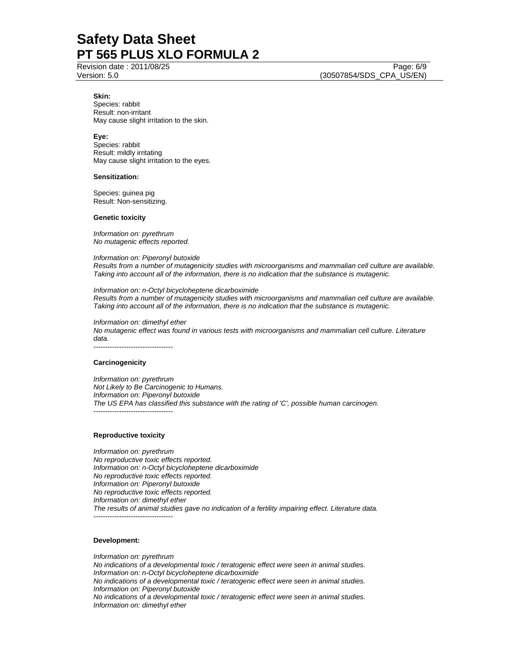Revision date : 2011/08/25 Page: 6/9

Version: 5.0 (30507854/SDS\_CPA\_US/EN)

### **Skin:**

Species: rabbit Result: non-irritant May cause slight irritation to the skin.

#### **Eye:**

Species: rabbit Result: mildly irritating May cause slight irritation to the eyes.

#### **Sensitization:**

Species: guinea pig Result: Non-sensitizing.

#### **Genetic toxicity**

*Information on: pyrethrum No mutagenic effects reported.* 

*Information on: Piperonyl butoxide Results from a number of mutagenicity studies with microorganisms and mammalian cell culture are available. Taking into account all of the information, there is no indication that the substance is mutagenic.* 

*Information on: n-Octyl bicycloheptene dicarboximide Results from a number of mutagenicity studies with microorganisms and mammalian cell culture are available. Taking into account all of the information, there is no indication that the substance is mutagenic.* 

*Information on: dimethyl ether No mutagenic effect was found in various tests with microorganisms and mammalian cell culture. Literature data.*  ----------------------------------

#### **Carcinogenicity**

*Information on: pyrethrum Not Likely to Be Carcinogenic to Humans. Information on: Piperonyl butoxide The US EPA has classified this substance with the rating of 'C', possible human carcinogen.*  ----------------------------------

#### **Reproductive toxicity**

*Information on: pyrethrum No reproductive toxic effects reported. Information on: n-Octyl bicycloheptene dicarboximide No reproductive toxic effects reported. Information on: Piperonyl butoxide No reproductive toxic effects reported. Information on: dimethyl ether The results of animal studies gave no indication of a fertility impairing effect. Literature data.*  ----------------------------------

#### **Development:**

*Information on: pyrethrum No indications of a developmental toxic / teratogenic effect were seen in animal studies. Information on: n-Octyl bicycloheptene dicarboximide No indications of a developmental toxic / teratogenic effect were seen in animal studies. Information on: Piperonyl butoxide No indications of a developmental toxic / teratogenic effect were seen in animal studies. Information on: dimethyl ether*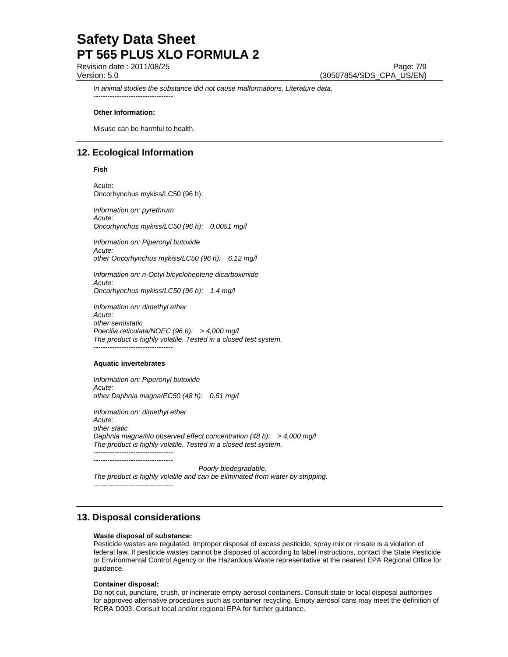Revision date : 2011/08/25 Page: 7/9

Version: 5.0 (30507854/SDS\_CPA\_US/EN)

*In animal studies the substance did not cause malformations. Literature data.*  ----------------------------------

#### **Other Information:**

Misuse can be harmful to health.

# **12. Ecological Information**

**Fish**

Acute: Oncorhynchus mykiss/LC50 (96 h):

*Information on: pyrethrum Acute: Oncorhynchus mykiss/LC50 (96 h): 0.0051 mg/l* 

*Information on: Piperonyl butoxide Acute: other Oncorhynchus mykiss/LC50 (96 h): 6.12 mg/l* 

*Information on: n-Octyl bicycloheptene dicarboximide Acute: Oncorhynchus mykiss/LC50 (96 h): 1.4 mg/l* 

*Information on: dimethyl ether Acute: other semistatic Poecilia reticulata/NOEC (96 h): > 4,000 mg/l The product is highly volatile. Tested in a closed test system.*  ----------------------------------

#### **Aquatic invertebrates**

*Information on: Piperonyl butoxide Acute: other Daphnia magna/EC50 (48 h): 0.51 mg/l* 

*Information on: dimethyl ether Acute: other static Daphnia magna/No observed effect concentration (48 h): > 4,000 mg/l The product is highly volatile. Tested in a closed test system.*  ---------------------------------- ----------------------------------

 *Poorly biodegradable. The product is highly volatile and can be eliminated from water by stripping.*  ----------------------------------

### **13. Disposal considerations**

#### **Waste disposal of substance:**

Pesticide wastes are regulated. Improper disposal of excess pesticide, spray mix or rinsate is a violation of federal law. If pesticide wastes cannot be disposed of according to label instructions, contact the State Pesticide or Environmental Control Agency or the Hazardous Waste representative at the nearest EPA Regional Office for guidance.

#### **Container disposal:**

Do not cut, puncture, crush, or incinerate empty aerosol containers. Consult state or local disposal authorities for approved alternative procedures such as container recycling. Empty aerosol cans may meet the definition of RCRA D003. Consult local and/or regional EPA for further guidance.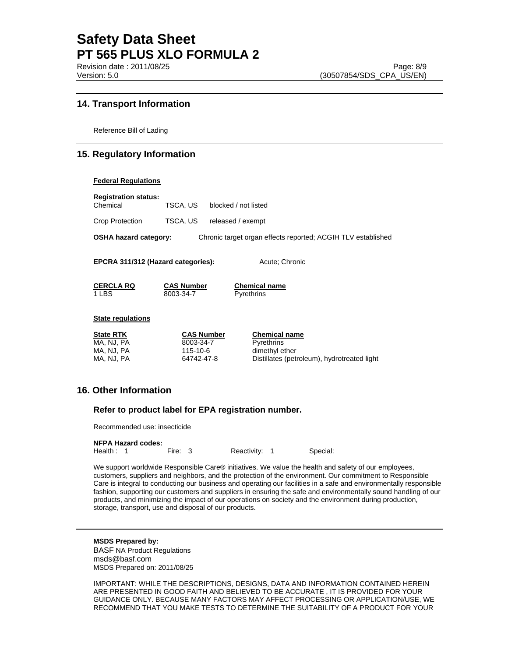# **14. Transport Information**

Reference Bill of Lading

# **15. Regulatory Information**

#### **Federal Regulations**

| <b>Registration status:</b><br>Chemical                                                      | TSCA, US                                                 | blocked / not listed |                                                                                                     |
|----------------------------------------------------------------------------------------------|----------------------------------------------------------|----------------------|-----------------------------------------------------------------------------------------------------|
| Crop Protection                                                                              | TSCA, US                                                 | released / exempt    |                                                                                                     |
| <b>OSHA hazard category:</b><br>Chronic target organ effects reported; ACGIH TLV established |                                                          |                      |                                                                                                     |
| EPCRA 311/312 (Hazard categories):<br>Acute: Chronic                                         |                                                          |                      |                                                                                                     |
| <b>CERCLA RQ</b><br>1 LBS                                                                    | <b>CAS Number</b><br>8003-34-7                           |                      | <b>Chemical name</b><br><b>Pyrethrins</b>                                                           |
| <b>State regulations</b>                                                                     |                                                          |                      |                                                                                                     |
| <b>State RTK</b><br>MA, NJ, PA<br>MA, NJ, PA<br>MA, NJ, PA                                   | <b>CAS Number</b><br>8003-34-7<br>115-10-6<br>64742-47-8 |                      | <b>Chemical name</b><br>Pyrethrins<br>dimethyl ether<br>Distillates (petroleum), hydrotreated light |

# **16. Other Information**

### **Refer to product label for EPA registration number.**

Recommended use: insecticide

| <b>NFPA Hazard codes:</b> |         |               |          |
|---------------------------|---------|---------------|----------|
| Health: 1                 | Fire: 3 | Reactivity: 1 | Special: |

We support worldwide Responsible Care® initiatives. We value the health and safety of our employees, customers, suppliers and neighbors, and the protection of the environment. Our commitment to Responsible Care is integral to conducting our business and operating our facilities in a safe and environmentally responsible fashion, supporting our customers and suppliers in ensuring the safe and environmentally sound handling of our products, and minimizing the impact of our operations on society and the environment during production, storage, transport, use and disposal of our products.

**MSDS Prepared by:**  BASF NA Product Regulations msds@basf.com MSDS Prepared on: 2011/08/25

IMPORTANT: WHILE THE DESCRIPTIONS, DESIGNS, DATA AND INFORMATION CONTAINED HEREIN ARE PRESENTED IN GOOD FAITH AND BELIEVED TO BE ACCURATE , IT IS PROVIDED FOR YOUR GUIDANCE ONLY. BECAUSE MANY FACTORS MAY AFFECT PROCESSING OR APPLICATION/USE, WE RECOMMEND THAT YOU MAKE TESTS TO DETERMINE THE SUITABILITY OF A PRODUCT FOR YOUR